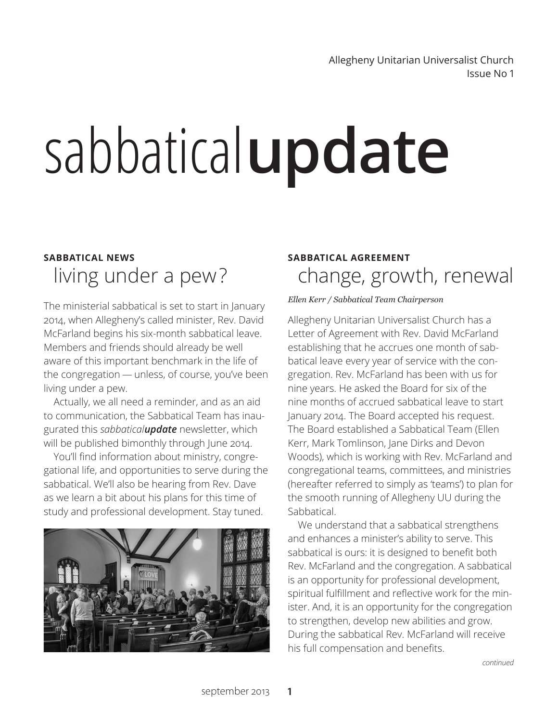Issue No 1 Allegheny Unitarian Universalist Church

# sabbatical**update**

## living under a pew? **SABBATICAL NEWS**

The ministerial sabbatical is set to start in January 2014, when Allegheny's called minister, Rev. David McFarland begins his six-month sabbatical leave. Members and friends should already be well aware of this important benchmark in the life of the congregation — unless, of course, you've been living under a pew.

Actually, we all need a reminder, and as an aid to communication, the Sabbatical Team has inaugurated this *sabbaticalupdate* newsletter, which will be published bimonthly through June 2014.

You'll find information about ministry, congregational life, and opportunities to serve during the sabbatical. We'll also be hearing from Rev. Dave as we learn a bit about his plans for this time of study and professional development. Stay tuned.



## change, growth, renewal **SABBATICAL AGREEMENT**

### *Ellen Kerr / Sabbatical Team Chairperson*

Allegheny Unitarian Universalist Church has a Letter of Agreement with Rev. David McFarland establishing that he accrues one month of sabbatical leave every year of service with the congregation. Rev. McFarland has been with us for nine years. He asked the Board for six of the nine months of accrued sabbatical leave to start January 2014. The Board accepted his request. The Board established a Sabbatical Team (Ellen Kerr, Mark Tomlinson, Jane Dirks and Devon Woods), which is working with Rev. McFarland and congregational teams, committees, and ministries (hereafter referred to simply as 'teams') to plan for the smooth running of Allegheny UU during the Sabbatical.

We understand that a sabbatical strengthens and enhances a minister's ability to serve. This sabbatical is ours: it is designed to benefit both Rev. McFarland and the congregation. A sabbatical is an opportunity for professional development, spiritual fulfillment and reflective work for the minister. And, it is an opportunity for the congregation to strengthen, develop new abilities and grow. During the sabbatical Rev. McFarland will receive his full compensation and benefits.

*continued*